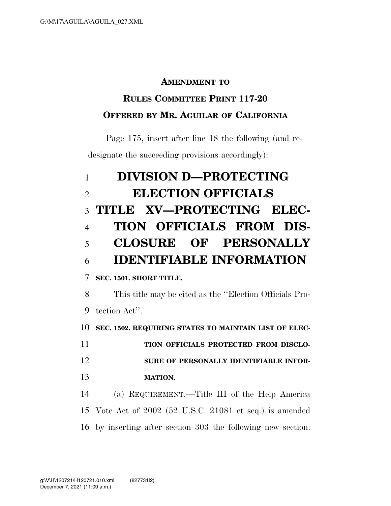#### **AMENDMENT TO**

### **RULES COMMITTEE PRINT 117-20 OFFERED BY MR. AGUILAR OF CALIFORNIA**

Page 175, insert after line 18 the following (and redesignate the succeeding provisions accordingly):

# **DIVISION D—PROTECTING ELECTION OFFICIALS TITLE XV—PROTECTING ELEC- TION OFFICIALS FROM DIS- CLOSURE OF PERSONALLY IDENTIFIABLE INFORMATION SEC. 1501. SHORT TITLE.**  This title may be cited as the ''Election Officials Pro- tection Act''. **SEC. 1502. REQUIRING STATES TO MAINTAIN LIST OF ELEC-TION OFFICIALS PROTECTED FROM DISCLO- SURE OF PERSONALLY IDENTIFIABLE INFOR- MATION.**  (a) REQUIREMENT.—Title III of the Help America Vote Act of 2002 (52 U.S.C. 21081 et seq.) is amended by inserting after section 303 the following new section: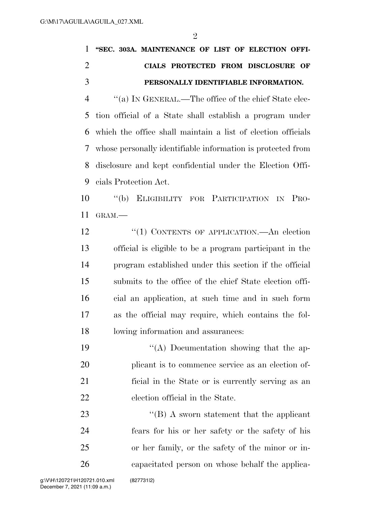|     | 1 "SEC. 303A. MAINTENANCE OF LIST OF ELECTION OFFI-                    |
|-----|------------------------------------------------------------------------|
|     | CIALS PROTECTED FROM DISCLOSURE OF                                     |
| - 3 | PERSONALLY IDENTIFIABLE INFORMATION.                                   |
|     | "(a) IN GENERAL.—The office of the chief State elec-<br>$\overline{4}$ |
|     |                                                                        |

 tion official of a State shall establish a program under which the office shall maintain a list of election officials whose personally identifiable information is protected from disclosure and kept confidential under the Election Offi-cials Protection Act.

 ''(b) ELIGIBILITY FOR PARTICIPATION IN PRO-GRAM.—

12 "(1) CONTENTS OF APPLICATION.—An election official is eligible to be a program participant in the program established under this section if the official submits to the office of the chief State election offi- cial an application, at such time and in such form as the official may require, which contains the fol-lowing information and assurances:

 ''(A) Documentation showing that the ap- plicant is to commence service as an election of- ficial in the State or is currently serving as an election official in the State.

23 ''(B) A sworn statement that the applicant fears for his or her safety or the safety of his or her family, or the safety of the minor or in-capacitated person on whose behalf the applica-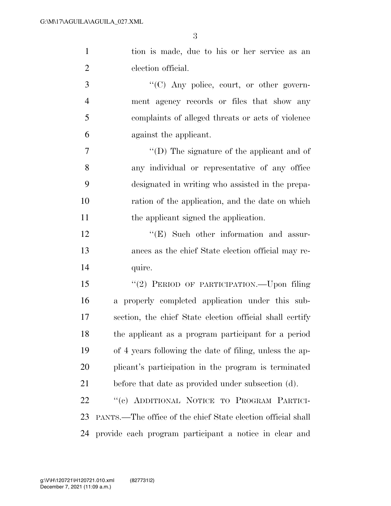tion is made, due to his or her service as an election official.

 $\cdot$  (C) Any police, court, or other govern- ment agency records or files that show any complaints of alleged threats or acts of violence against the applicant.

 ''(D) The signature of the applicant and of any individual or representative of any office designated in writing who assisted in the prepa- ration of the application, and the date on which 11 the applicant signed the application.

12 "'(E) Such other information and assur- ances as the chief State election official may re-14 quire.

 ''(2) PERIOD OF PARTICIPATION.—Upon filing a properly completed application under this sub- section, the chief State election official shall certify the applicant as a program participant for a period of 4 years following the date of filing, unless the ap- plicant's participation in the program is terminated before that date as provided under subsection (d).

 ''(c) ADDITIONAL NOTICE TO PROGRAM PARTICI- PANTS.—The office of the chief State election official shall provide each program participant a notice in clear and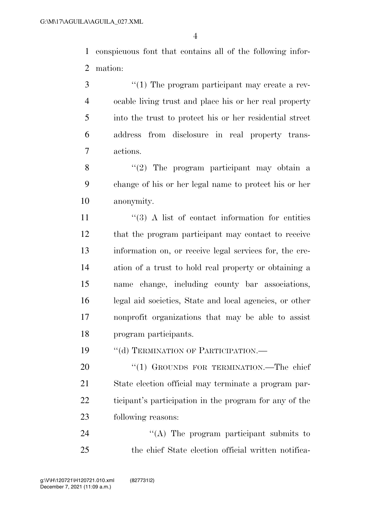conspicuous font that contains all of the following infor-mation:

3 (1) The program participant may create a rev- ocable living trust and place his or her real property into the trust to protect his or her residential street address from disclosure in real property trans-actions.

8 ''(2) The program participant may obtain a change of his or her legal name to protect his or her anonymity.

11 ''(3) A list of contact information for entities that the program participant may contact to receive information on, or receive legal services for, the cre- ation of a trust to hold real property or obtaining a name change, including county bar associations, legal aid societies, State and local agencies, or other nonprofit organizations that may be able to assist program participants.

19 "(d) TERMINATION OF PARTICIPATION.—

20 "(1) GROUNDS FOR TERMINATION.—The chief State election official may terminate a program par- ticipant's participation in the program for any of the following reasons:

24 "(A) The program participant submits to the chief State election official written notifica-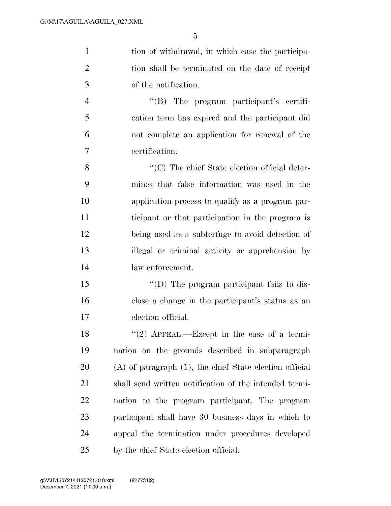1 tion of withdrawal, in which case the participa- tion shall be terminated on the date of receipt of the notification. ''(B) The program participant's certifi-

 cation term has expired and the participant did not complete an application for renewal of the certification.

 ''(C) The chief State election official deter- mines that false information was used in the application process to qualify as a program par- ticipant or that participation in the program is being used as a subterfuge to avoid detection of illegal or criminal activity or apprehension by law enforcement.

15  $\langle\text{I}(D) \rangle$  The program participant fails to dis- close a change in the participant's status as an election official.

 $\frac{1}{2}$  APPEAL.—Except in the case of a termi- nation on the grounds described in subparagraph (A) of paragraph (1), the chief State election official shall send written notification of the intended termi- nation to the program participant. The program participant shall have 30 business days in which to appeal the termination under procedures developed by the chief State election official.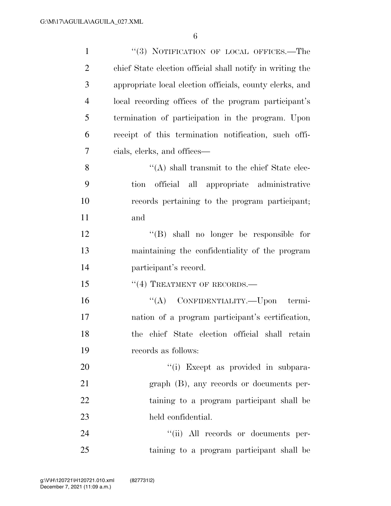| $\mathbf{1}$   | "(3) NOTIFICATION OF LOCAL OFFICES.—The                   |
|----------------|-----------------------------------------------------------|
| $\overline{2}$ | chief State election official shall notify in writing the |
| 3              | appropriate local election officials, county clerks, and  |
| $\overline{4}$ | local recording offices of the program participant's      |
| 5              | termination of participation in the program. Upon         |
| 6              | receipt of this termination notification, such offi-      |
| 7              | cials, clerks, and offices—                               |
| 8              | $\lq\lq$ shall transmit to the chief State elec-          |
| 9              | official all appropriate administrative<br>tion           |
| 10             | records pertaining to the program participant;            |
| 11             | and                                                       |
| 12             | "(B) shall no longer be responsible for                   |
| 13             | maintaining the confidentiality of the program            |
| 14             | participant's record.                                     |
| 15             | $``(4)$ TREATMENT OF RECORDS.—                            |
| 16             | "(A) CONFIDENTIALITY.—Upon termi-                         |
| 17             | nation of a program participant's certification,          |
| 18             | the chief State election official shall retain            |
| 19             | records as follows:                                       |
| 20             | "(i) Except as provided in subpara-                       |
| 21             | $graph$ (B), any records or documents per-                |
| 22             | taining to a program participant shall be                 |
| 23             | held confidential.                                        |
| 24             | "(ii) All records or documents per-                       |
| 25             | taining to a program participant shall be                 |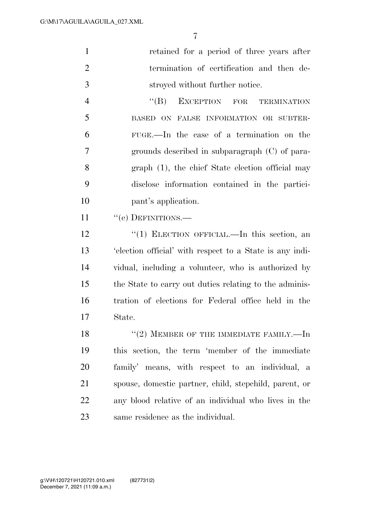|                | 7                                                       |
|----------------|---------------------------------------------------------|
| $\mathbf{1}$   | retained for a period of three years after              |
| $\overline{2}$ | termination of certification and then de-               |
| 3              | stroyed without further notice.                         |
| $\overline{4}$ | EXCEPTION FOR<br>$\lq\lq (B)$<br><b>TERMINATION</b>     |
| 5              | BASED ON FALSE INFORMATION OR SUBTER-                   |
| 6              | FUGE.—In the case of a termination on the               |
| 7              | grounds described in subparagraph $(C)$ of para-        |
| 8              | graph (1), the chief State election official may        |
| 9              | disclose information contained in the partici-          |
| 10             | pant's application.                                     |
| 11             | "(e) DEFINITIONS.-                                      |
| 12             | "(1) ELECTION OFFICIAL.—In this section, an             |
| 13             | election official' with respect to a State is any indi- |
| 14             | vidual, including a volunteer, who is authorized by     |
| 15             | the State to carry out duties relating to the adminis-  |

 tration of elections for Federal office held in the State.

 $"(2)$  MEMBER OF THE IMMEDIATE FAMILY.—In this section, the term 'member of the immediate family' means, with respect to an individual, a spouse, domestic partner, child, stepchild, parent, or any blood relative of an individual who lives in the same residence as the individual.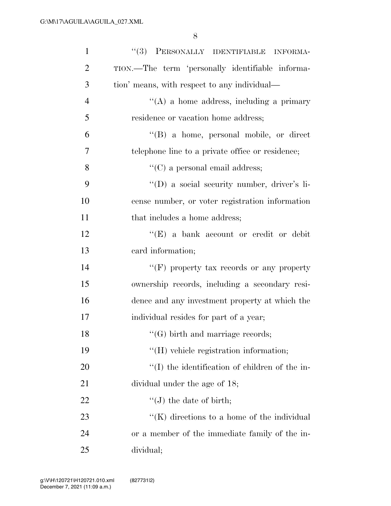| $\mathbf{1}$   | "(3) PERSONALLY IDENTIFIABLE INFORMA-              |
|----------------|----------------------------------------------------|
| $\overline{2}$ | TION.—The term 'personally identifiable informa-   |
| 3              | tion' means, with respect to any individual—       |
| $\overline{4}$ | $\lq\lq$ (A) a home address, including a primary   |
| 5              | residence or vacation home address;                |
| 6              | "(B) a home, personal mobile, or direct            |
| 7              | telephone line to a private office or residence;   |
| 8              | $\lq\lq$ (C) a personal email address;             |
| 9              | "(D) a social security number, driver's li-        |
| 10             | cense number, or voter registration information    |
| 11             | that includes a home address;                      |
| 12             | "(E) a bank account or credit or debit             |
| 13             | card information;                                  |
| 14             | "(F) property tax records or any property          |
| 15             | ownership records, including a secondary resi-     |
| 16             | dence and any investment property at which the     |
| 17             | individual resides for part of a year;             |
| 18             | $\lq\lq (G)$ birth and marriage records;           |
| 19             | "(H) vehicle registration information;             |
| 20             | $\lq\lq$ the identification of children of the in- |
| 21             | dividual under the age of 18;                      |
| 22             | $\lq\lq (J)$ the date of birth;                    |
| 23             | " $(K)$ directions to a home of the individual     |
| 24             | or a member of the immediate family of the in-     |
| 25             | dividual;                                          |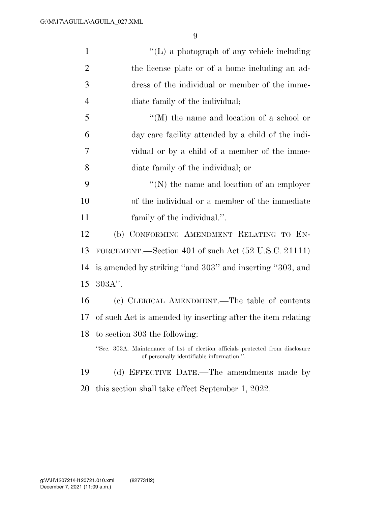| $\mathbf{1}$   | $\lq\lq$ . (L) a photograph of any vehicle including                                                                         |
|----------------|------------------------------------------------------------------------------------------------------------------------------|
| $\overline{c}$ | the license plate or of a home including an ad-                                                                              |
| 3              | dress of the individual or member of the imme-                                                                               |
| $\overline{4}$ | diate family of the individual;                                                                                              |
| 5              | $\lq\lq (M)$ the name and location of a school or                                                                            |
| 6              | day care facility attended by a child of the indi-                                                                           |
| 7              | vidual or by a child of a member of the imme-                                                                                |
| 8              | diate family of the individual; or                                                                                           |
| 9              | $\lq\lq(N)$ the name and location of an employer                                                                             |
| 10             | of the individual or a member of the immediate                                                                               |
| 11             | family of the individual.".                                                                                                  |
| 12             | (b) CONFORMING AMENDMENT RELATING TO EN-                                                                                     |
| 13             | FORCEMENT.—Section 401 of such Act (52 U.S.C. 21111)                                                                         |
| 14             | is amended by striking "and 303" and inserting "303, and                                                                     |
| 15             | $303A$ ".                                                                                                                    |
| 16             | (c) CLERICAL AMENDMENT.—The table of contents                                                                                |
| 17             | of such Act is amended by inserting after the item relating                                                                  |
| 18             | to section 303 the following:                                                                                                |
|                | "Sec. 303A. Maintenance of list of election officials protected from disclosure<br>of personally identifiable information.". |
| 19             | EFFECTIVE DATE.—The amendments made by<br>(d)                                                                                |
| 20             | this section shall take effect September 1, 2022.                                                                            |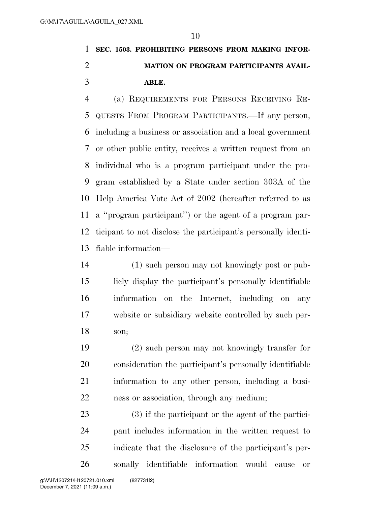## **SEC. 1503. PROHIBITING PERSONS FROM MAKING INFOR- MATION ON PROGRAM PARTICIPANTS AVAIL-ABLE.**

 (a) REQUIREMENTS FOR PERSONS RECEIVING RE- QUESTS FROM PROGRAM PARTICIPANTS.—If any person, including a business or association and a local government or other public entity, receives a written request from an individual who is a program participant under the pro- gram established by a State under section 303A of the Help America Vote Act of 2002 (hereafter referred to as a ''program participant'') or the agent of a program par- ticipant to not disclose the participant's personally identi-fiable information—

 (1) such person may not knowingly post or pub- licly display the participant's personally identifiable information on the Internet, including on any website or subsidiary website controlled by such per-son;

 (2) such person may not knowingly transfer for consideration the participant's personally identifiable information to any other person, including a busi-ness or association, through any medium;

 (3) if the participant or the agent of the partici- pant includes information in the written request to indicate that the disclosure of the participant's per-sonally identifiable information would cause or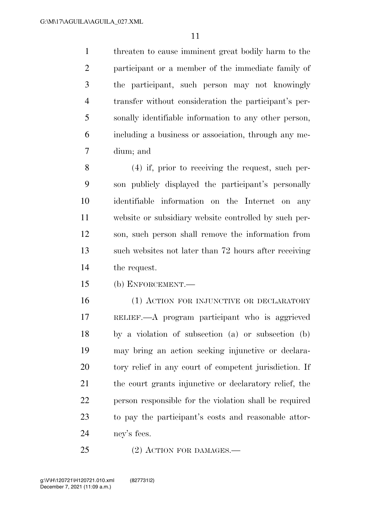threaten to cause imminent great bodily harm to the participant or a member of the immediate family of the participant, such person may not knowingly transfer without consideration the participant's per- sonally identifiable information to any other person, including a business or association, through any me-dium; and

 (4) if, prior to receiving the request, such per- son publicly displayed the participant's personally identifiable information on the Internet on any website or subsidiary website controlled by such per- son, such person shall remove the information from such websites not later than 72 hours after receiving the request.

(b) ENFORCEMENT.—

- (1) ACTION FOR INJUNCTIVE OR DECLARATORY RELIEF.—A program participant who is aggrieved by a violation of subsection (a) or subsection (b) may bring an action seeking injunctive or declara- tory relief in any court of competent jurisdiction. If the court grants injunctive or declaratory relief, the person responsible for the violation shall be required to pay the participant's costs and reasonable attor-ney's fees.
- 25 (2) ACTION FOR DAMAGES.—